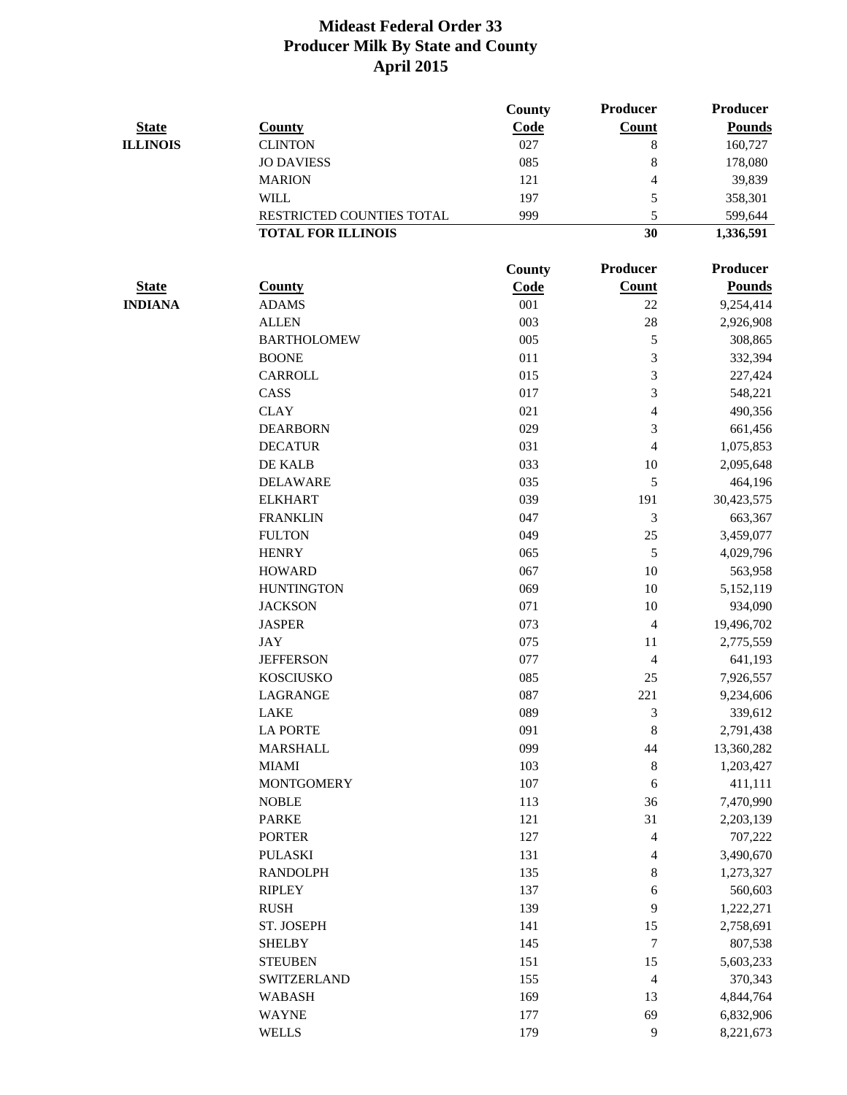|                 |                           | County      | <b>Producer</b>          | <b>Producer</b> |
|-----------------|---------------------------|-------------|--------------------------|-----------------|
| <b>State</b>    | <b>County</b>             | Code        | <b>Count</b>             | <b>Pounds</b>   |
| <b>ILLINOIS</b> | <b>CLINTON</b>            | 027         | $\,8\,$                  | 160,727         |
|                 | <b>JO DAVIESS</b>         | 085         | 8                        | 178,080         |
|                 | <b>MARION</b>             | 121         | 4                        | 39,839          |
|                 | <b>WILL</b>               | 197         | 5                        | 358,301         |
|                 | RESTRICTED COUNTIES TOTAL | 999         | 5                        | 599,644         |
|                 | <b>TOTAL FOR ILLINOIS</b> |             | 30                       | 1,336,591       |
|                 |                           |             |                          |                 |
|                 |                           | County      | Producer                 | Producer        |
| <b>State</b>    | <b>County</b>             | <b>Code</b> | <b>Count</b>             | <b>Pounds</b>   |
| <b>INDIANA</b>  | <b>ADAMS</b>              | 001         | 22                       | 9,254,414       |
|                 | <b>ALLEN</b>              | 003         | 28                       | 2,926,908       |
|                 | <b>BARTHOLOMEW</b>        | 005         | 5                        | 308,865         |
|                 | <b>BOONE</b>              | 011         | 3                        | 332,394         |
|                 | CARROLL                   | 015         | 3                        | 227,424         |
|                 | CASS                      | 017         | 3                        | 548,221         |
|                 | <b>CLAY</b>               | 021         | $\overline{4}$           | 490,356         |
|                 | <b>DEARBORN</b>           | 029         | 3                        | 661,456         |
|                 | <b>DECATUR</b>            | 031         | $\overline{4}$           | 1,075,853       |
|                 | DE KALB                   | 033         | 10                       | 2,095,648       |
|                 | <b>DELAWARE</b>           | 035         | 5                        | 464,196         |
|                 | <b>ELKHART</b>            | 039         | 191                      | 30,423,575      |
|                 | <b>FRANKLIN</b>           | 047         | 3                        | 663,367         |
|                 | <b>FULTON</b>             | 049         | 25                       | 3,459,077       |
|                 | <b>HENRY</b>              | 065         | 5                        | 4,029,796       |
|                 | <b>HOWARD</b>             | 067         | 10                       | 563,958         |
|                 | <b>HUNTINGTON</b>         | 069         | 10                       | 5,152,119       |
|                 | <b>JACKSON</b>            | 071         | 10                       | 934,090         |
|                 | <b>JASPER</b>             | 073         | $\overline{4}$           | 19,496,702      |
|                 | <b>JAY</b>                | 075         | 11                       | 2,775,559       |
|                 | <b>JEFFERSON</b>          | 077         | $\overline{4}$           | 641,193         |
|                 | <b>KOSCIUSKO</b>          | 085         | 25                       | 7,926,557       |
|                 | <b>LAGRANGE</b>           | 087         | 221                      | 9,234,606       |
|                 | LAKE                      | 089         | $\mathfrak{Z}$           | 339,612         |
|                 | <b>LA PORTE</b>           | 091         | $\,8\,$                  |                 |
|                 |                           |             |                          | 2,791,438       |
|                 | <b>MARSHALL</b>           | 099         | 44                       | 13,360,282      |
|                 | <b>MIAMI</b>              | 103         | $\,8\,$                  | 1,203,427       |
|                 | <b>MONTGOMERY</b>         | 107         | 6                        | 411,111         |
|                 | <b>NOBLE</b>              | 113         | 36                       | 7,470,990       |
|                 | <b>PARKE</b>              | 121         | 31                       | 2,203,139       |
|                 | <b>PORTER</b>             | 127         | $\overline{\mathcal{A}}$ | 707,222         |
|                 | <b>PULASKI</b>            | 131         | $\overline{4}$           | 3,490,670       |
|                 | <b>RANDOLPH</b>           | 135         | $\,8\,$                  | 1,273,327       |
|                 | <b>RIPLEY</b>             | 137         | 6                        | 560,603         |
|                 | <b>RUSH</b>               | 139         | 9                        | 1,222,271       |
|                 | ST. JOSEPH                | 141         | 15                       | 2,758,691       |
|                 | <b>SHELBY</b>             | 145         | $\tau$                   | 807,538         |
|                 | <b>STEUBEN</b>            | 151         | 15                       | 5,603,233       |
|                 | <b>SWITZERLAND</b>        | 155         | $\overline{4}$           | 370,343         |
|                 | <b>WABASH</b>             | 169         | 13                       | 4,844,764       |
|                 | <b>WAYNE</b>              | 177         | 69                       | 6,832,906       |
|                 | <b>WELLS</b>              | 179         | 9                        | 8,221,673       |
|                 |                           |             |                          |                 |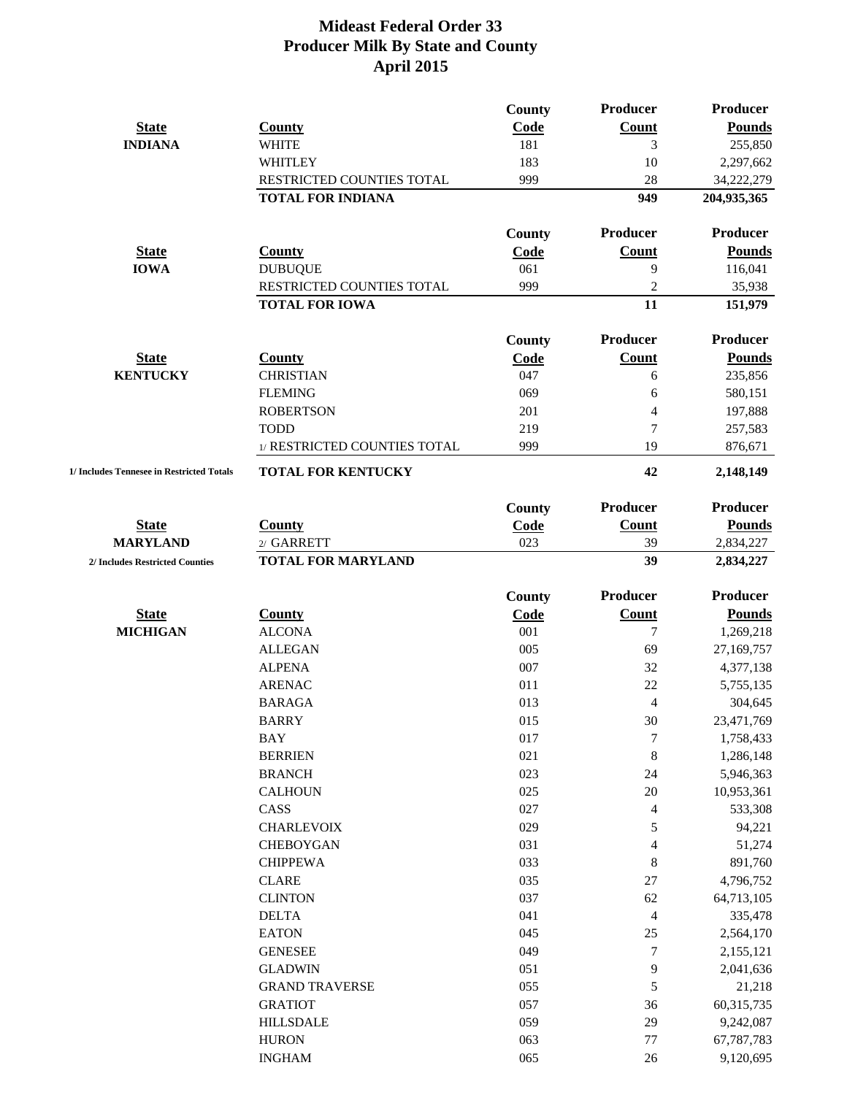|                                           |                              | County        | Producer                 | <b>Producer</b> |
|-------------------------------------------|------------------------------|---------------|--------------------------|-----------------|
| <b>State</b>                              | <b>County</b>                | Code          | <b>Count</b>             | <b>Pounds</b>   |
| <b>INDIANA</b>                            | <b>WHITE</b>                 | 181           | 3                        | 255,850         |
|                                           | <b>WHITLEY</b>               | 183           | 10                       | 2,297,662       |
|                                           | RESTRICTED COUNTIES TOTAL    | 999           | 28                       | 34,222,279      |
|                                           | <b>TOTAL FOR INDIANA</b>     |               | 949                      | 204,935,365     |
|                                           |                              | County        | Producer                 | <b>Producer</b> |
| <b>State</b>                              | <b>County</b>                | Code          | <b>Count</b>             | <b>Pounds</b>   |
| <b>IOWA</b>                               | <b>DUBUQUE</b>               | 061           | 9                        | 116,041         |
|                                           | RESTRICTED COUNTIES TOTAL    | 999           | $\overline{2}$           | 35,938          |
|                                           | <b>TOTAL FOR IOWA</b>        |               | 11                       | 151,979         |
|                                           |                              | County        | Producer                 | <b>Producer</b> |
| <b>State</b>                              | <b>County</b>                | Code          | Count                    | <b>Pounds</b>   |
| <b>KENTUCKY</b>                           | <b>CHRISTIAN</b>             | 047           | 6                        | 235,856         |
|                                           | <b>FLEMING</b>               | 069           | 6                        | 580,151         |
|                                           | <b>ROBERTSON</b>             | 201           | $\overline{\mathcal{A}}$ | 197,888         |
|                                           | <b>TODD</b>                  | 219           | 7                        | 257,583         |
|                                           | 1/ RESTRICTED COUNTIES TOTAL | 999           | 19                       | 876,671         |
| 1/ Includes Tennesee in Restricted Totals | <b>TOTAL FOR KENTUCKY</b>    |               | 42                       | 2,148,149       |
|                                           |                              | County        | Producer                 | <b>Producer</b> |
| <b>State</b>                              | <b>County</b>                | Code          | <b>Count</b>             | <b>Pounds</b>   |
| <b>MARYLAND</b>                           | 2/ GARRETT                   | 023           | 39                       | 2,834,227       |
| 2/ Includes Restricted Counties           | <b>TOTAL FOR MARYLAND</b>    |               | 39                       | 2,834,227       |
|                                           |                              | <b>County</b> | Producer                 | <b>Producer</b> |
| <b>State</b>                              | <b>County</b>                | Code          | <b>Count</b>             | <b>Pounds</b>   |
| <b>MICHIGAN</b>                           | <b>ALCONA</b>                | 001           | $\overline{7}$           | 1,269,218       |
|                                           | <b>ALLEGAN</b>               | 005           | 69                       | 27,169,757      |
|                                           | <b>ALPENA</b>                | 007           | 32                       | 4,377,138       |
|                                           | <b>ARENAC</b>                | 011           | 22                       | 5,755,135       |
|                                           | <b>BARAGA</b>                | 013           | $\overline{4}$           | 304,645         |
|                                           | <b>BARRY</b>                 | 015           | $30\,$                   | 23,471,769      |
|                                           | <b>BAY</b>                   | 017           | $\boldsymbol{7}$         | 1,758,433       |
|                                           | <b>BERRIEN</b>               | 021           | $\,8\,$                  | 1,286,148       |
|                                           | <b>BRANCH</b>                | 023           | 24                       | 5,946,363       |
|                                           | <b>CALHOUN</b>               | 025           | 20                       | 10,953,361      |
|                                           | CASS                         | 027           | $\overline{\mathbf{4}}$  | 533,308         |
|                                           | <b>CHARLEVOIX</b>            | 029           | 5                        | 94,221          |
|                                           | <b>CHEBOYGAN</b>             | 031           | $\overline{4}$           | 51,274          |
|                                           | <b>CHIPPEWA</b>              | 033           | $8\,$                    | 891,760         |
|                                           | <b>CLARE</b>                 | 035           | 27                       | 4,796,752       |
|                                           | <b>CLINTON</b>               | 037           | 62                       | 64,713,105      |
|                                           | <b>DELTA</b>                 | 041           | $\overline{4}$           | 335,478         |
|                                           | <b>EATON</b>                 | 045           | 25                       | 2,564,170       |
|                                           | <b>GENESEE</b>               | 049           | $\tau$                   | 2,155,121       |
|                                           | <b>GLADWIN</b>               | 051           | 9                        | 2,041,636       |
|                                           | <b>GRAND TRAVERSE</b>        | 055           | 5                        | 21,218          |
|                                           | <b>GRATIOT</b>               | 057           | 36                       | 60,315,735      |
|                                           | <b>HILLSDALE</b>             | 059           | 29                       | 9,242,087       |
|                                           | <b>HURON</b>                 | 063           | 77                       | 67,787,783      |
|                                           | <b>INGHAM</b>                | 065           | 26                       | 9,120,695       |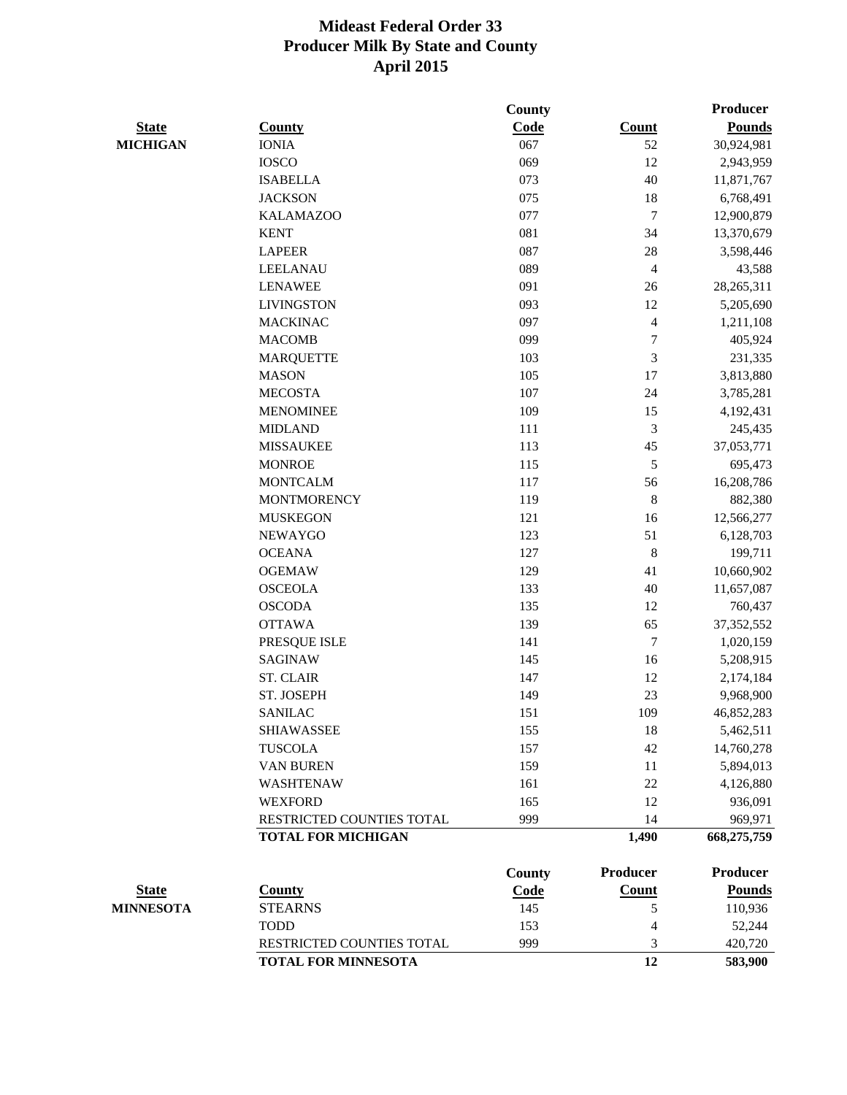|                  |                            | County |                         | <b>Producer</b> |
|------------------|----------------------------|--------|-------------------------|-----------------|
| <b>State</b>     | <b>County</b>              | Code   | <b>Count</b>            | <b>Pounds</b>   |
| <b>MICHIGAN</b>  | <b>IONIA</b>               | 067    | 52                      | 30,924,981      |
|                  | <b>IOSCO</b>               | 069    | 12                      | 2,943,959       |
|                  | <b>ISABELLA</b>            | 073    | 40                      | 11,871,767      |
|                  | <b>JACKSON</b>             | 075    | 18                      | 6,768,491       |
|                  | <b>KALAMAZOO</b>           | 077    | $\tau$                  | 12,900,879      |
|                  | <b>KENT</b>                | 081    | 34                      | 13,370,679      |
|                  | <b>LAPEER</b>              | 087    | 28                      | 3,598,446       |
|                  | <b>LEELANAU</b>            | 089    | $\overline{\mathbf{4}}$ | 43,588          |
|                  | <b>LENAWEE</b>             | 091    | 26                      | 28, 265, 311    |
|                  | <b>LIVINGSTON</b>          | 093    | 12                      | 5,205,690       |
|                  | <b>MACKINAC</b>            | 097    | $\overline{4}$          | 1,211,108       |
|                  | <b>MACOMB</b>              | 099    | $\tau$                  | 405,924         |
|                  | <b>MARQUETTE</b>           | 103    | 3                       | 231,335         |
|                  | <b>MASON</b>               | 105    | 17                      | 3,813,880       |
|                  | <b>MECOSTA</b>             | 107    | 24                      | 3,785,281       |
|                  | <b>MENOMINEE</b>           | 109    | 15                      | 4,192,431       |
|                  | <b>MIDLAND</b>             | 111    | 3                       | 245,435         |
|                  | <b>MISSAUKEE</b>           | 113    | 45                      | 37,053,771      |
|                  | <b>MONROE</b>              | 115    | 5                       | 695,473         |
|                  | <b>MONTCALM</b>            | 117    | 56                      | 16,208,786      |
|                  | <b>MONTMORENCY</b>         | 119    | 8                       | 882,380         |
|                  | <b>MUSKEGON</b>            | 121    | 16                      | 12,566,277      |
|                  | <b>NEWAYGO</b>             | 123    | 51                      | 6,128,703       |
|                  | <b>OCEANA</b>              | 127    | 8                       | 199,711         |
|                  | <b>OGEMAW</b>              | 129    | 41                      | 10,660,902      |
|                  | <b>OSCEOLA</b>             | 133    | 40                      | 11,657,087      |
|                  | <b>OSCODA</b>              | 135    | 12                      | 760,437         |
|                  | <b>OTTAWA</b>              | 139    | 65                      | 37, 352, 552    |
|                  | PRESQUE ISLE               | 141    | $\tau$                  | 1,020,159       |
|                  | <b>SAGINAW</b>             | 145    | 16                      | 5,208,915       |
|                  | <b>ST. CLAIR</b>           | 147    | 12                      | 2,174,184       |
|                  | ST. JOSEPH                 | 149    | 23                      | 9,968,900       |
|                  | <b>SANILAC</b>             | 151    | 109                     | 46,852,283      |
|                  | <b>SHIAWASSEE</b>          | 155    | 18                      | 5,462,511       |
|                  | <b>TUSCOLA</b>             | 157    | 42                      | 14,760,278      |
|                  | <b>VAN BUREN</b>           | 159    | 11                      | 5,894,013       |
|                  | <b>WASHTENAW</b>           | 161    | 22                      | 4,126,880       |
|                  | <b>WEXFORD</b>             | 165    | 12                      | 936,091         |
|                  | RESTRICTED COUNTIES TOTAL  | 999    | 14                      | 969,971         |
|                  | <b>TOTAL FOR MICHIGAN</b>  |        | 1,490                   | 668,275,759     |
|                  |                            | County | Producer                | Producer        |
| <b>State</b>     | <b>County</b>              | Code   | <b>Count</b>            | <b>Pounds</b>   |
| <b>MINNESOTA</b> | <b>STEARNS</b>             | 145    | 5                       | 110,936         |
|                  | <b>TODD</b>                | 153    | 4                       | 52,244          |
|                  | RESTRICTED COUNTIES TOTAL  | 999    | 3                       | 420,720         |
|                  | <b>TOTAL FOR MINNESOTA</b> |        | 12                      | 583,900         |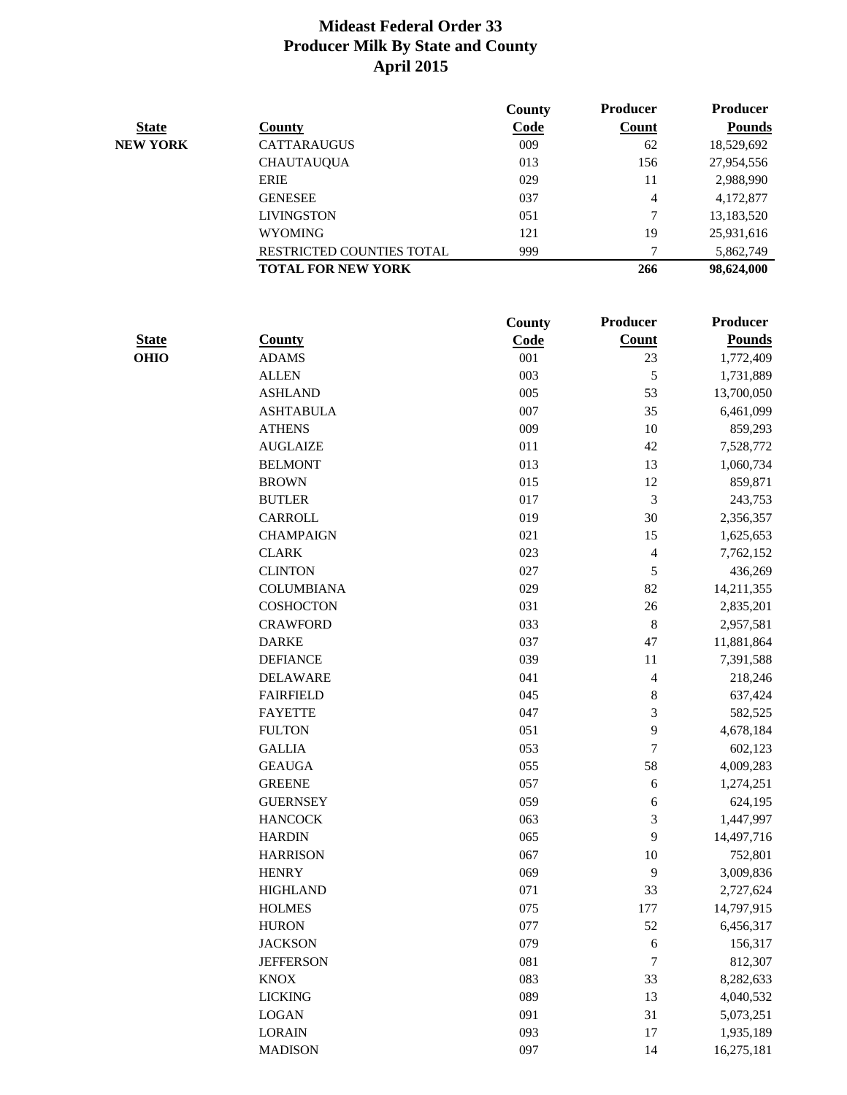|                 |                           | County | <b>Producer</b> | <b>Producer</b> |
|-----------------|---------------------------|--------|-----------------|-----------------|
| <b>State</b>    | County                    | Code   | <b>Count</b>    | <b>Pounds</b>   |
| <b>NEW YORK</b> | <b>CATTARAUGUS</b>        | 009    | 62              | 18,529,692      |
|                 | <b>CHAUTAUQUA</b>         | 013    | 156             | 27,954,556      |
|                 | ERIE                      | 029    | 11              | 2,988,990       |
|                 | <b>GENESEE</b>            | 037    | $\overline{4}$  | 4,172,877       |
|                 | <b>LIVINGSTON</b>         | 051    | 7               | 13,183,520      |
|                 | <b>WYOMING</b>            | 121    | 19              | 25,931,616      |
|                 | RESTRICTED COUNTIES TOTAL | 999    | ⇁               | 5,862,749       |
|                 | <b>TOTAL FOR NEW YORK</b> |        | 266             | 98,624,000      |

|              |                   | County | Producer       | Producer      |
|--------------|-------------------|--------|----------------|---------------|
| <b>State</b> | <b>County</b>     | Code   | <b>Count</b>   | <b>Pounds</b> |
| <b>OHIO</b>  | <b>ADAMS</b>      | 001    | 23             | 1,772,409     |
|              | <b>ALLEN</b>      | 003    | 5              | 1,731,889     |
|              | <b>ASHLAND</b>    | 005    | 53             | 13,700,050    |
|              | <b>ASHTABULA</b>  | 007    | 35             | 6,461,099     |
|              | <b>ATHENS</b>     | 009    | 10             | 859,293       |
|              | <b>AUGLAIZE</b>   | 011    | 42             | 7,528,772     |
|              | <b>BELMONT</b>    | 013    | 13             | 1,060,734     |
|              | <b>BROWN</b>      | 015    | 12             | 859,871       |
|              | <b>BUTLER</b>     | 017    | 3              | 243,753       |
|              | <b>CARROLL</b>    | 019    | 30             | 2,356,357     |
|              | <b>CHAMPAIGN</b>  | 021    | 15             | 1,625,653     |
|              | <b>CLARK</b>      | 023    | 4              | 7,762,152     |
|              | <b>CLINTON</b>    | 027    | 5              | 436,269       |
|              | <b>COLUMBIANA</b> | 029    | 82             | 14,211,355    |
|              | <b>COSHOCTON</b>  | 031    | 26             | 2,835,201     |
|              | <b>CRAWFORD</b>   | 033    | $\,8\,$        | 2,957,581     |
|              | <b>DARKE</b>      | 037    | 47             | 11,881,864    |
|              | <b>DEFIANCE</b>   | 039    | 11             | 7,391,588     |
|              | <b>DELAWARE</b>   | 041    | $\overline{4}$ | 218,246       |
|              | <b>FAIRFIELD</b>  | 045    | 8              | 637,424       |
|              | <b>FAYETTE</b>    | 047    | 3              | 582,525       |
|              | <b>FULTON</b>     | 051    | 9              | 4,678,184     |
|              | <b>GALLIA</b>     | 053    | $\overline{7}$ | 602,123       |
|              | <b>GEAUGA</b>     | 055    | 58             | 4,009,283     |
|              | <b>GREENE</b>     | 057    | 6              | 1,274,251     |
|              | <b>GUERNSEY</b>   | 059    | 6              | 624,195       |
|              | <b>HANCOCK</b>    | 063    | 3              | 1,447,997     |
|              | <b>HARDIN</b>     | 065    | 9              | 14,497,716    |
|              | <b>HARRISON</b>   | 067    | 10             | 752,801       |
|              | <b>HENRY</b>      | 069    | 9              | 3,009,836     |
|              | <b>HIGHLAND</b>   | 071    | 33             | 2,727,624     |
|              | <b>HOLMES</b>     | 075    | 177            | 14,797,915    |
|              | <b>HURON</b>      | 077    | 52             | 6,456,317     |
|              | <b>JACKSON</b>    | 079    | 6              | 156,317       |
|              | <b>JEFFERSON</b>  | 081    | 7              | 812,307       |
|              | <b>KNOX</b>       | 083    | 33             | 8,282,633     |
|              | <b>LICKING</b>    | 089    | 13             | 4,040,532     |
|              | <b>LOGAN</b>      | 091    | 31             | 5,073,251     |
|              | <b>LORAIN</b>     | 093    | 17             | 1,935,189     |
|              | <b>MADISON</b>    | 097    | 14             | 16,275,181    |
|              |                   |        |                |               |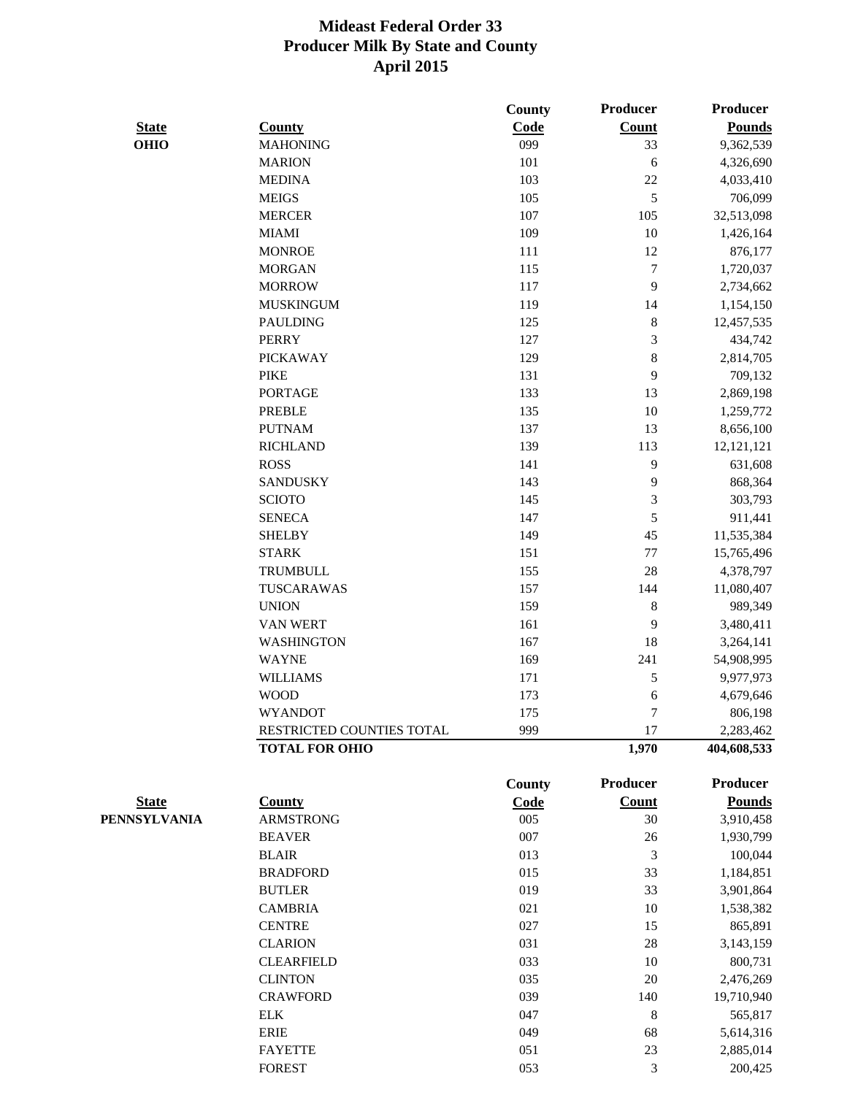|              |                           | County        | Producer       | <b>Producer</b> |
|--------------|---------------------------|---------------|----------------|-----------------|
| <b>State</b> | <b>County</b>             | Code          | <b>Count</b>   | <b>Pounds</b>   |
| <b>OHIO</b>  | <b>MAHONING</b>           | 099           | 33             | 9,362,539       |
|              | <b>MARION</b>             | 101           | 6              | 4,326,690       |
|              | <b>MEDINA</b>             | 103           | 22             | 4,033,410       |
|              | <b>MEIGS</b>              | 105           | $\mathfrak{S}$ | 706,099         |
|              | <b>MERCER</b>             | 107           | 105            | 32,513,098      |
|              | <b>MIAMI</b>              | 109           | 10             | 1,426,164       |
|              | <b>MONROE</b>             | 111           | 12             | 876,177         |
|              | <b>MORGAN</b>             | 115           | $\tau$         | 1,720,037       |
|              | <b>MORROW</b>             | 117           | 9              | 2,734,662       |
|              | <b>MUSKINGUM</b>          | 119           | 14             | 1,154,150       |
|              | <b>PAULDING</b>           | 125           | $8\,$          | 12,457,535      |
|              | <b>PERRY</b>              | 127           | 3              | 434,742         |
|              | <b>PICKAWAY</b>           | 129           | $8\,$          | 2,814,705       |
|              | <b>PIKE</b>               | 131           | 9              | 709,132         |
|              | <b>PORTAGE</b>            | 133           | 13             | 2,869,198       |
|              | <b>PREBLE</b>             | 135           | 10             | 1,259,772       |
|              | <b>PUTNAM</b>             | 137           | 13             | 8,656,100       |
|              | <b>RICHLAND</b>           | 139           | 113            | 12, 121, 121    |
|              | <b>ROSS</b>               | 141           | 9              | 631,608         |
|              | <b>SANDUSKY</b>           | 143           | 9              | 868,364         |
|              | <b>SCIOTO</b>             | 145           | 3              | 303,793         |
|              | <b>SENECA</b>             | 147           | $\mathfrak{S}$ | 911,441         |
|              | <b>SHELBY</b>             | 149           | 45             | 11,535,384      |
|              | <b>STARK</b>              | 151           | $77\,$         | 15,765,496      |
|              | <b>TRUMBULL</b>           | 155           | 28             | 4,378,797       |
|              | TUSCARAWAS                | 157           | 144            | 11,080,407      |
|              | <b>UNION</b>              | 159           | $\,8\,$        | 989,349         |
|              | VAN WERT                  | 161           | 9              | 3,480,411       |
|              | <b>WASHINGTON</b>         | 167           | 18             | 3,264,141       |
|              | <b>WAYNE</b>              | 169           | 241            | 54,908,995      |
|              | <b>WILLIAMS</b>           | 171           | 5              | 9,977,973       |
|              | <b>WOOD</b>               | 173           | 6              | 4,679,646       |
|              | <b>WYANDOT</b>            | 175           | 7              | 806,198         |
|              | RESTRICTED COUNTIES TOTAL | 999           | 17             | 2,283,462       |
|              | <b>TOTAL FOR OHIO</b>     |               | 1,970          | 404,608,533     |
|              |                           | <b>County</b> | Producer       | <b>Producer</b> |
| <b>State</b> | <b>County</b>             | Code          | <b>Count</b>   | <b>Pounds</b>   |
| PENNSYLVANIA | <b>ARMSTRONG</b>          | 005           | 30             | 3,910,458       |
|              | <b>BEAVER</b>             | 007           | 26             | 1,930,799       |
|              | <b>BLAIR</b>              | 013           | 3              | 100,044         |
|              | <b>BRADFORD</b>           | 015           | 33             | 1,184,851       |
|              | <b>BUTLER</b>             | 019           | 33             | 3,901,864       |
|              | <b>CAMBRIA</b>            | 021           | 10             | 1,538,382       |
|              | <b>CENTRE</b>             | 027           | 15             | 865,891         |
|              | <b>CLARION</b>            | 031           | 28             | 3,143,159       |
|              | <b>CLEARFIELD</b>         | 033           | 10             | 800,731         |
|              | <b>CLINTON</b>            | 035           | 20             | 2,476,269       |
|              | <b>CRAWFORD</b>           | 039           | 140            | 19,710,940      |
|              | <b>ELK</b>                | 047           | 8              | 565,817         |
|              | <b>ERIE</b>               | 049           | 68             | 5,614,316       |

FAYETTE 051 23 2,885,014 FOREST 053 3 200,425